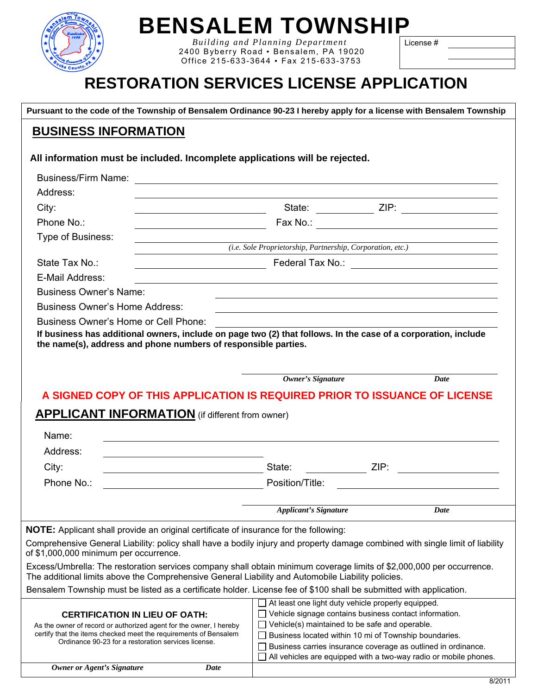

### **BENSALEM TOWNSHIP**

 *Building and Planning Department*  2400 Byberry Road ▪ Bensalem, PA 19020 Office 215-633-3644 ▪ Fax 215-633-3753

License #

### **RESTORATION SERVICES LICENSE APPLICATION**

 **Pursuant to the code of the Township of Bensalem Ordinance 90-23 I hereby apply for a license with Bensalem Township**

#### **BUSINESS INFORMATION**

**All information must be included. Incomplete applications will be rejected.** 

| <b>Business/Firm Name:</b>                                                                                                                                                                                                                                               | <u> 1989 - Johann Barn, amerikan besteman besteman besteman besteman besteman besteman besteman besteman bestema</u>                                                                                                                                                                                                                                                         |                                                          |
|--------------------------------------------------------------------------------------------------------------------------------------------------------------------------------------------------------------------------------------------------------------------------|------------------------------------------------------------------------------------------------------------------------------------------------------------------------------------------------------------------------------------------------------------------------------------------------------------------------------------------------------------------------------|----------------------------------------------------------|
| Address:                                                                                                                                                                                                                                                                 |                                                                                                                                                                                                                                                                                                                                                                              |                                                          |
| City:<br><u> 1989 - Johann Barnett, fransk politik (d. 1989)</u>                                                                                                                                                                                                         |                                                                                                                                                                                                                                                                                                                                                                              |                                                          |
| Phone No.:                                                                                                                                                                                                                                                               |                                                                                                                                                                                                                                                                                                                                                                              |                                                          |
| Type of Business:                                                                                                                                                                                                                                                        |                                                                                                                                                                                                                                                                                                                                                                              |                                                          |
|                                                                                                                                                                                                                                                                          | (i.e. Sole Proprietorship, Partnership, Corporation, etc.)                                                                                                                                                                                                                                                                                                                   |                                                          |
| State Tax No.:                                                                                                                                                                                                                                                           | Federal Tax No.: \\contact \\contact \\contact \\contact \\contact \\contact \\contact \\contact \\contact \\contact \\contact \\contact \\contact \\contact \\contact \\contact \\contact \\contact \\contact \\contact \\con                                                                                                                                               |                                                          |
| E-Mail Address:                                                                                                                                                                                                                                                          |                                                                                                                                                                                                                                                                                                                                                                              |                                                          |
| <b>Business Owner's Name:</b>                                                                                                                                                                                                                                            |                                                                                                                                                                                                                                                                                                                                                                              |                                                          |
| <b>Business Owner's Home Address:</b>                                                                                                                                                                                                                                    |                                                                                                                                                                                                                                                                                                                                                                              |                                                          |
| Business Owner's Home or Cell Phone:<br>If business has additional owners, include on page two (2) that follows. In the case of a corporation, include<br>the name(s), address and phone numbers of responsible parties.                                                 |                                                                                                                                                                                                                                                                                                                                                                              |                                                          |
|                                                                                                                                                                                                                                                                          | <b>Owner's Signature</b>                                                                                                                                                                                                                                                                                                                                                     | Date                                                     |
|                                                                                                                                                                                                                                                                          | A SIGNED COPY OF THIS APPLICATION IS REQUIRED PRIOR TO ISSUANCE OF LICENSE                                                                                                                                                                                                                                                                                                   |                                                          |
| <b>APPLICANT INFORMATION</b> (if different from owner)<br>Name:                                                                                                                                                                                                          |                                                                                                                                                                                                                                                                                                                                                                              |                                                          |
|                                                                                                                                                                                                                                                                          | <u> 1989 - John Stein, september 1989 - John Stein, september 1989 - John Stein, september 1989 - John Stein, sep</u>                                                                                                                                                                                                                                                        |                                                          |
| Address:                                                                                                                                                                                                                                                                 |                                                                                                                                                                                                                                                                                                                                                                              |                                                          |
| City:                                                                                                                                                                                                                                                                    | State:                                                                                                                                                                                                                                                                                                                                                                       |                                                          |
| Phone No.:                                                                                                                                                                                                                                                               | Position/Title:                                                                                                                                                                                                                                                                                                                                                              |                                                          |
|                                                                                                                                                                                                                                                                          |                                                                                                                                                                                                                                                                                                                                                                              | <u> 1980 - Jan Samuel Barbara, martin di sebagai per</u> |
|                                                                                                                                                                                                                                                                          | <b>Applicant's Signature</b>                                                                                                                                                                                                                                                                                                                                                 | Date                                                     |
|                                                                                                                                                                                                                                                                          |                                                                                                                                                                                                                                                                                                                                                                              |                                                          |
| <b>NOTE:</b> Applicant shall provide an original certificate of insurance for the following:<br>Comprehensive General Liability: policy shall have a bodily injury and property damage combined with single limit of liability<br>of \$1,000,000 minimum per occurrence. |                                                                                                                                                                                                                                                                                                                                                                              |                                                          |
| Excess/Umbrella: The restoration services company shall obtain minimum coverage limits of \$2,000,000 per occurrence.<br>The additional limits above the Comprehensive General Liability and Automobile Liability policies.                                              |                                                                                                                                                                                                                                                                                                                                                                              |                                                          |
| Bensalem Township must be listed as a certificate holder. License fee of \$100 shall be submitted with application.                                                                                                                                                      |                                                                                                                                                                                                                                                                                                                                                                              |                                                          |
| <b>CERTIFICATION IN LIEU OF OATH:</b><br>As the owner of record or authorized agent for the owner, I hereby<br>certify that the items checked meet the requirements of Bensalem<br>Ordinance 90-23 for a restoration services license.                                   | $\Box$ At least one light duty vehicle properly equipped.<br>□ Vehicle signage contains business contact information.<br>$\Box$ Vehicle(s) maintained to be safe and operable.<br>Business located within 10 mi of Township boundaries.<br>Business carries insurance coverage as outlined in ordinance.<br>All vehicles are equipped with a two-way radio or mobile phones. |                                                          |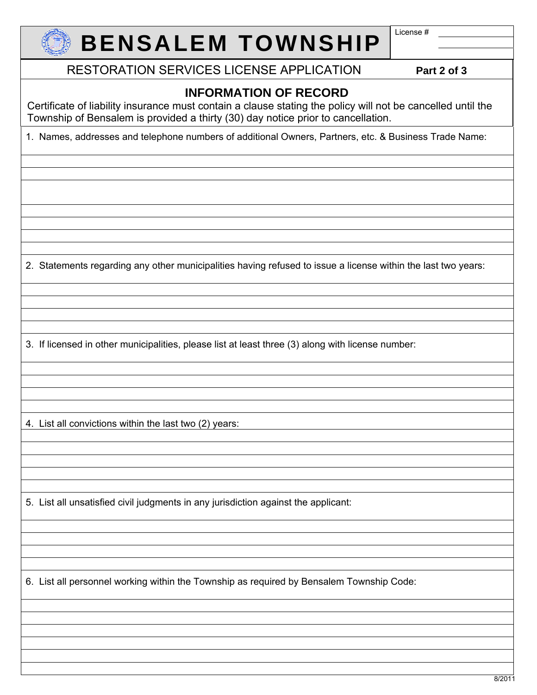

# **BENSALEM TOWNSHIP**

License #

RESTORATION SERVICES LICENSE APPLICATION **Part 2 of 3**

### **INFORMATION OF RECORD**

Certificate of liability insurance must contain a clause stating the policy will not be cancelled until the Township of Bensalem is provided a thirty (30) day notice prior to cancellation.

1. Names, addresses and telephone numbers of additional Owners, Partners, etc. & Business Trade Name:

2. Statements regarding any other municipalities having refused to issue a license within the last two years:

3. If licensed in other municipalities, please list at least three (3) along with license number:

4. List all convictions within the last two (2) years:

5. List all unsatisfied civil judgments in any jurisdiction against the applicant:

6. List all personnel working within the Township as required by Bensalem Township Code: